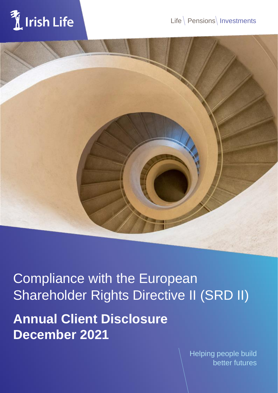



Compliance with the European Shareholder Rights Directive II (SRD II)

**Annual Client Disclosure December 2021**

> Helping people build better futures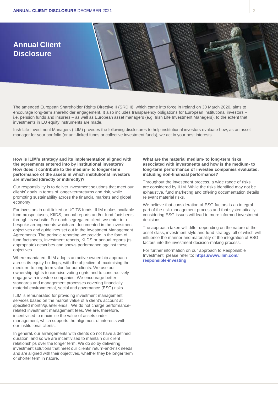

The amended European Shareholder Rights Directive II (SRD II), which came into force in Ireland on 30 March 2020, aims to encourage long-term shareholder engagement. It also includes transparency obligations for European institutional investors – i.e. pension funds and insurers – as well as European asset managers (e.g. Irish Life Investment Managers), to the extent that investments in EU equity instruments are made.

Irish Life Investment Managers (ILIM) provides the following disclosures to help institutional investors evaluate how, as an asset manager for your portfolio (or unit-linked funds or collective investment funds), we act in your best interests.

**How is ILIM's strategy and its implementation aligned with the agreements entered into by institutional investors? How does it contribute to the medium- to longer-term performance of the assets in which institutional investors are invested (directly or indirectly)?**

Our responsibility is to deliver investment solutions that meet our clients' goals in terms of longer-termreturns and risk, while promoting sustainability across the financial markets and global economy.

For investors in unit-linked or UCITS funds, ILIM makes available fund prospectuses, KIIDS, annual reports and/or fund factsheets through its website. For each segregated client, we enter into bespoke arrangements which are documented in the investment objectives and guidelines set out in the Investment Management Agreements. The periodic reporting we provide in the form of fund factsheets, investment reports, KIIDS or annual reports (as appropriate) describes and shows performance against these objectives.

Where mandated, ILIM adopts an active ownership approach across its equity holdings, with the objective of maximising the medium- to long-term value for our clients. We use our ownership rights to exercise voting rights and to constructively engage with investee companies. We encourage better standards and management processes covering financially material environmental, social and governance (ESG) risks.

ILIM is remunerated for providing investment management services based on the market value of a client's account at specified month/quarter ends. We do not charge performancerelated investment management fees. We are, therefore, incentivised to maximise the value of assets under management, which supports the alignment of interests with our institutional clients.

In general, our arrangements with clients do not have a defined duration, and so we are incentivised to maintain our client relationships over the longer term. We do so by delivering investment solutions that meet our clients' return-and-risk needs and are aligned with their objectives, whether they be longer term or shorter term in nature.

# **What are the material medium- to long-term risks associated with investments and how is the medium- to long-term performance of investee companies evaluated, including non-financial performance?**

Throughout the investment process, a wide range of risks are considered by ILIM. While the risks identified may not be exhaustive, fund marketing and offering documentation details relevant material risks.

We believe that consideration of ESG factors is an integral part of the risk-management process and that systematically considering ESG issues will lead to more informed investment decisions.

The approach taken will differ depending on the nature of the asset class, investment style and fund strategy, all of which will influence the manner and materiality of the integration of ESG factors into the investment decision-making process.

For further information on our approach to Responsible Investment, please refer to: **https:[//www.ilim.com/](http://www.ilim.com/) responsible-investing**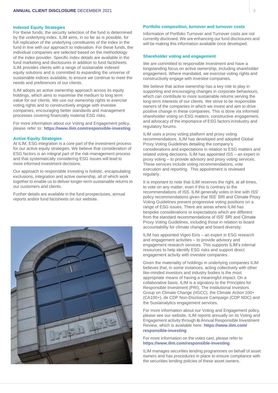#### **Indexed Equity Strategies**

For these funds, the security selection of the fund is determined by the underlying index. ILIM aims, in so far as is possible, for full replication of the underlying constituents of the index in the fund in line with our approach to indexation. For these funds, the individual companies are selected based on the methodology of the index provider. Specific index details are available in the fund marketing and disclosures in addition to fund factsheets. ILIM provides clients with a range of sustainable indexed equity solutions and is committed to expanding the universe of sustainable indices available, to ensure we continue to meet the needs and preferences of our clients.

ILIM adopts an active ownership approach across its equity holdings, which aims to maximise the medium to long term value for our clients. We use our ownership rights to exercise voting rights and to constructively engage with investee companies, encouraging better standards and management processes covering financially material ESG risks.

For more information about our Voting and Engagement policy, please refer to: **https:/[/www.ilim.com/responsible-investing](http://www.ilim.com/responsible-investing)**

#### **Active Equity Strategies**

At ILIM, ESG integration is a core part of the investment process for our active equity strategies. We believe that consideration of ESG factors is an integral part of the risk-management process and that systematically considering ESG issues will lead to more informed investment decisions.

Our approach to responsible investing is holistic, encapsulating exclusions, integration and active ownership, all of which work together to enable us to deliver longer-term sustainable returns to our customers and clients.

Further details are available in the fund prospectuses, annual reports and/or fund factsheets on our website.



### **Portfolio composition, turnover and turnover costs**

Information of Portfolio Turnover and Turnover costs are not currently disclosed. We are enhancing our fund disclosures and will be making this information available once developed.

#### **Shareholder voting and engagement**

We are committed to responsible investment and have a longstanding focus on active ownership, including shareholder engagement. Where mandated, we exercise voting rights and constructively engage with investee companies.

We believe that active ownership has a key role to play in supporting and encouraging changes in corporate behaviours, which can contribute to more sustainable returns serving the long-term interests of our clients. We strive to be responsible owners of the companies in which we invest and aim to drive positive change in these companies. This is done via informed shareholder voting on ESG matters, constructive engagement, and advocacy of the importance of ESG factors in industry and regulatory forums.

ILIM uses a proxy voting platform and proxy voting recommendations. ILIM has developed and adopted Global Proxy Voting Guidelines detailing the company's considerations and expectations in relation to ESG matters and related voting decisions. ILIM has appointed ISS – an expert in proxy voting – to provide advisory and proxy voting services. These services include voting recommendations, vote execution and reporting. This appointment is reviewed regularly.

It is important to note that ILIM reserves the right, at all times, to vote on any matter, even if this is contrary to the recommendations of ISS. ILIM generally votes in line with ISS' policy recommendations given that ISS' SRI and Climate Proxy Voting Guidelines present progressive voting positions on a range of ESG issues. There are areas where ILIM has bespoke considerations or expectations which are different from the standard recommendations of ISS' SRI and Climate Proxy Voting Guidelines, including those in relation to board accountability for climate change and board diversity.

ILIM has appointed Vigeo Eiris – an expert in ESG research and engagement activities – to provide advisory and engagement research services. This supports ILIM's internal resources to help identify ESG risks and support direct engagement activity with investee companies.

Given the materiality of holdings in underlying companies ILIM believes that, in some instances, acting collectively with other like-minded investors and industry bodies is the most appropriate means of having a meaningful impact. On a collaborative basis, ILIM is a signatory to the Principles for Responsible Investment (PRI), The Institutional Investors Group on Climate Change (IIGCC), the Climate Action 100+ (CA100+), de CDP Non-Disclosure Campaign (CDP NDC) and the Sustainalytics engagement services.

For more information about our Voting and Engagement policy, please see our website. ILIM reports annually on its Voting and Engagement activity through its Annual Responsible Investment Review, which is available here: **https:[//www.ilim.com/](http://www.ilim.com/) responsible-investing**

## For more information on the votes cast, please refer to **https:[//www.ilim.com/responsible-investing](http://www.ilim.com/responsible-investing)**

ILIM manages securities lending programmes on behalf of asset owners and has procedures in place to ensure compliance with the securities lending policies of these asset owners.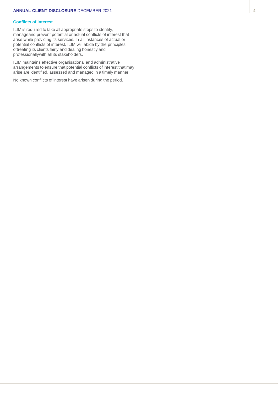# **ANNUAL CLIENT DISCLOSURE** DECEMBER 2021

# **Conflicts of interest**

ILIM is required to take all appropriate steps to identify, manageand prevent potential or actual conflicts of interest that arise while providing its services. In all instances of actual or potential conflicts of interest, ILIM will abide by the principles oftreating its clients fairly and dealing honestly and professionallywith all its stakeholders.

ILIM maintains effective organisational and administrative arrangements to ensure that potential conflicts of interest that may arise are identified, assessed and managed in a timely manner.

No known conflicts of interest have arisen during the period.